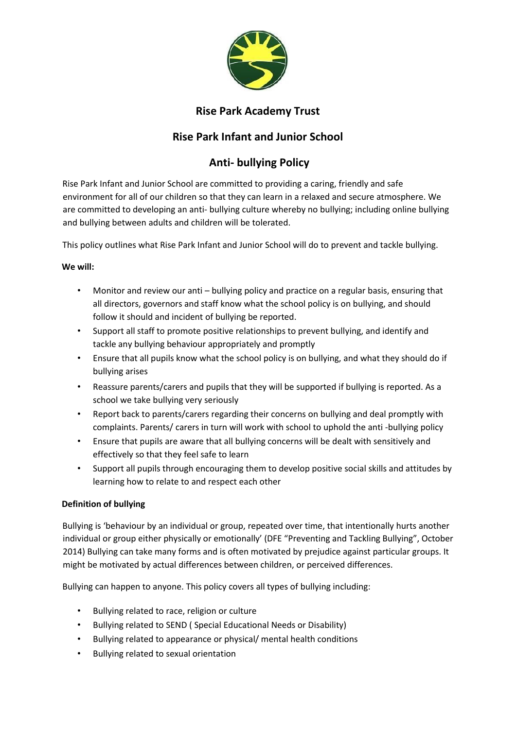

## **Rise Park Academy Trust**

## **Rise Park Infant and Junior School**

# **Anti- bullying Policy**

Rise Park Infant and Junior School are committed to providing a caring, friendly and safe environment for all of our children so that they can learn in a relaxed and secure atmosphere. We are committed to developing an anti- bullying culture whereby no bullying; including online bullying and bullying between adults and children will be tolerated.

This policy outlines what Rise Park Infant and Junior School will do to prevent and tackle bullying.

## **We will:**

- Monitor and review our anti bullying policy and practice on a regular basis, ensuring that all directors, governors and staff know what the school policy is on bullying, and should follow it should and incident of bullying be reported.
- Support all staff to promote positive relationships to prevent bullying, and identify and tackle any bullying behaviour appropriately and promptly
- Ensure that all pupils know what the school policy is on bullying, and what they should do if bullying arises
- Reassure parents/carers and pupils that they will be supported if bullying is reported. As a school we take bullying very seriously
- Report back to parents/carers regarding their concerns on bullying and deal promptly with complaints. Parents/ carers in turn will work with school to uphold the anti -bullying policy
- Ensure that pupils are aware that all bullying concerns will be dealt with sensitively and effectively so that they feel safe to learn
- Support all pupils through encouraging them to develop positive social skills and attitudes by learning how to relate to and respect each other

## **Definition of bullying**

Bullying is 'behaviour by an individual or group, repeated over time, that intentionally hurts another individual or group either physically or emotionally' (DFE "Preventing and Tackling Bullying", October 2014) Bullying can take many forms and is often motivated by prejudice against particular groups. It might be motivated by actual differences between children, or perceived differences.

Bullying can happen to anyone. This policy covers all types of bullying including:

- Bullying related to race, religion or culture
- Bullying related to SEND ( Special Educational Needs or Disability)
- Bullying related to appearance or physical/ mental health conditions
- Bullying related to sexual orientation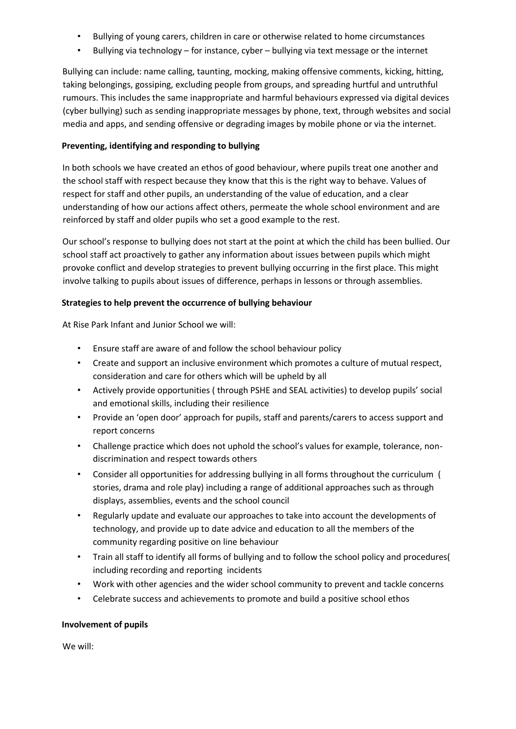- Bullying of young carers, children in care or otherwise related to home circumstances
- Bullying via technology for instance, cyber bullying via text message or the internet

Bullying can include: name calling, taunting, mocking, making offensive comments, kicking, hitting, taking belongings, gossiping, excluding people from groups, and spreading hurtful and untruthful rumours. This includes the same inappropriate and harmful behaviours expressed via digital devices (cyber bullying) such as sending inappropriate messages by phone, text, through websites and social media and apps, and sending offensive or degrading images by mobile phone or via the internet.

## **Preventing, identifying and responding to bullying**

In both schools we have created an ethos of good behaviour, where pupils treat one another and the school staff with respect because they know that this is the right way to behave. Values of respect for staff and other pupils, an understanding of the value of education, and a clear understanding of how our actions affect others, permeate the whole school environment and are reinforced by staff and older pupils who set a good example to the rest.

Our school's response to bullying does not start at the point at which the child has been bullied. Our school staff act proactively to gather any information about issues between pupils which might provoke conflict and develop strategies to prevent bullying occurring in the first place. This might involve talking to pupils about issues of difference, perhaps in lessons or through assemblies.

## **Strategies to help prevent the occurrence of bullying behaviour**

At Rise Park Infant and Junior School we will:

- Ensure staff are aware of and follow the school behaviour policy
- Create and support an inclusive environment which promotes a culture of mutual respect, consideration and care for others which will be upheld by all
- Actively provide opportunities ( through PSHE and SEAL activities) to develop pupils' social and emotional skills, including their resilience
- Provide an 'open door' approach for pupils, staff and parents/carers to access support and report concerns
- Challenge practice which does not uphold the school's values for example, tolerance, nondiscrimination and respect towards others
- Consider all opportunities for addressing bullying in all forms throughout the curriculum ( stories, drama and role play) including a range of additional approaches such as through displays, assemblies, events and the school council
- Regularly update and evaluate our approaches to take into account the developments of technology, and provide up to date advice and education to all the members of the community regarding positive on line behaviour
- Train all staff to identify all forms of bullying and to follow the school policy and procedures( including recording and reporting incidents
- Work with other agencies and the wider school community to prevent and tackle concerns
- Celebrate success and achievements to promote and build a positive school ethos

## **Involvement of pupils**

We will: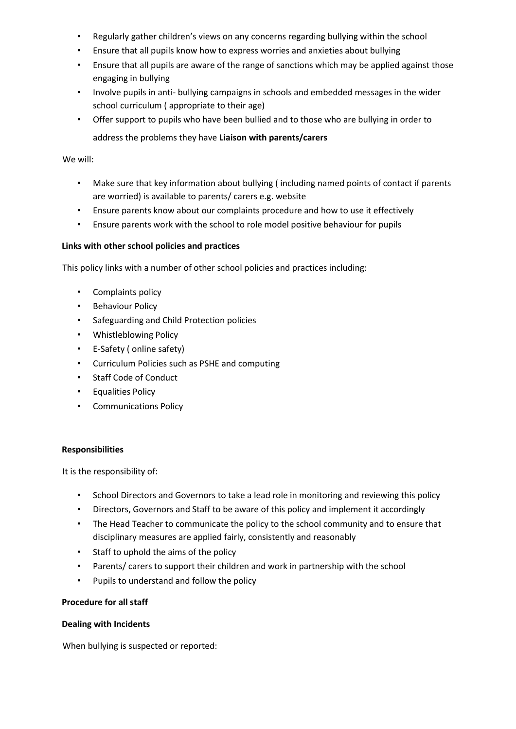- Regularly gather children's views on any concerns regarding bullying within the school
- Ensure that all pupils know how to express worries and anxieties about bullying
- Ensure that all pupils are aware of the range of sanctions which may be applied against those engaging in bullying
- Involve pupils in anti- bullying campaigns in schools and embedded messages in the wider school curriculum ( appropriate to their age)
- Offer support to pupils who have been bullied and to those who are bullying in order to

address the problems they have **Liaison with parents/carers** 

#### We will:

- Make sure that key information about bullying ( including named points of contact if parents are worried) is available to parents/ carers e.g. website
- Ensure parents know about our complaints procedure and how to use it effectively
- Ensure parents work with the school to role model positive behaviour for pupils

#### **Links with other school policies and practices**

This policy links with a number of other school policies and practices including:

- Complaints policy
- Behaviour Policy
- Safeguarding and Child Protection policies
- Whistleblowing Policy
- E-Safety ( online safety)
- Curriculum Policies such as PSHE and computing
- Staff Code of Conduct
- Equalities Policy
- Communications Policy

#### **Responsibilities**

It is the responsibility of:

- School Directors and Governors to take a lead role in monitoring and reviewing this policy
- Directors, Governors and Staff to be aware of this policy and implement it accordingly
- The Head Teacher to communicate the policy to the school community and to ensure that disciplinary measures are applied fairly, consistently and reasonably
- Staff to uphold the aims of the policy
- Parents/ carers to support their children and work in partnership with the school
- Pupils to understand and follow the policy

## **Procedure for all staff**

#### **Dealing with Incidents**

When bullying is suspected or reported: